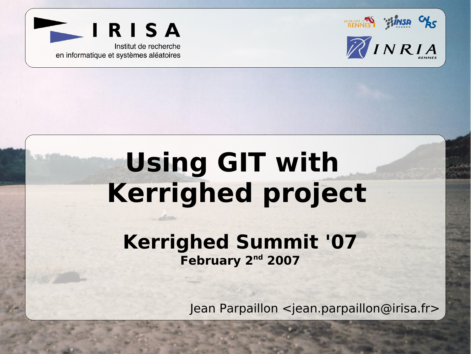

IRISA

Institut de recherche en informatique et systèmes aléatoires

# **Using GIT with Kerrighed project**

#### **Kerrighed Summit '07** February 2<sup>nd</sup> 2007

Jean Parpaillon <jean.parpaillon@irisa.fr>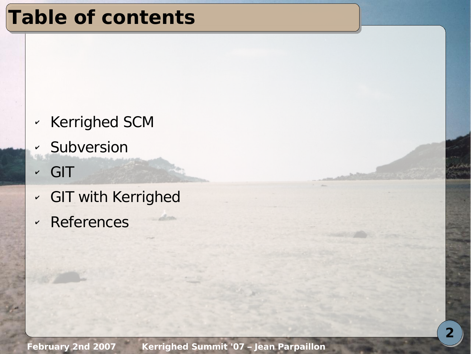## **Table of contents**

- ✔ Kerrighed SCM
- ✔ Subversion
- ✔ GIT
- ✔ GIT with Kerrighed
- ✔ References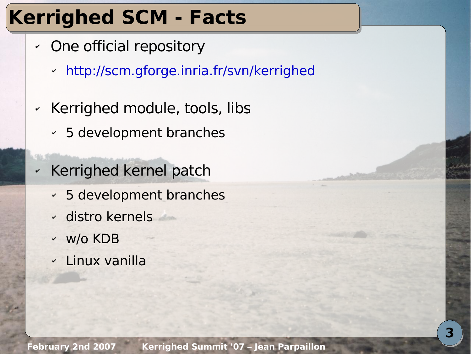# **Kerrighed SCM - Facts**

- ✔ One official repository
	- ✔ <http://scm.gforge.inria.fr/svn/kerrighed>
- ✔ Kerrighed module, tools, libs
	- ✔ 5 development branches
- ✔ Kerrighed kernel patch
	- ✔ 5 development branches
	- ✔ distro kernels
	- ✔ w/o KDB
	- ✔ Linux vanilla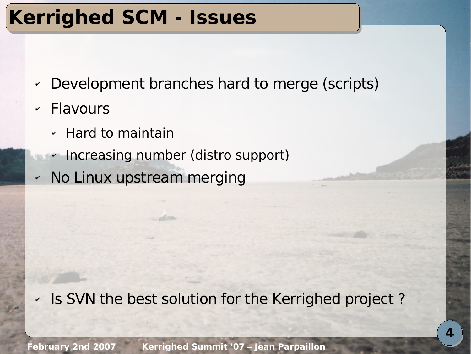# **Kerrighed SCM - Issues**

- ✔ Development branches hard to merge (scripts)
- ✔ Flavours
	- ✔ Hard to maintain
	- ✔ Increasing number (distro support)
- ✔ No Linux upstream merging

✔ Is SVN the best solution for the Kerrighed project ?

**February 2nd 2007 Kerrighed Summit '07 – Jean Parpaillon**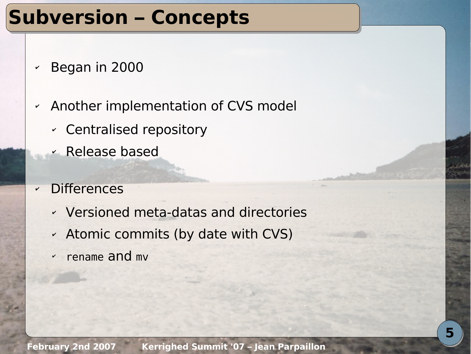### **Subversion – Concepts**

- ✔ Began in 2000
- ✔ Another implementation of CVS model
	- ✔ Centralised repository
	- ✔ Release based
- ✔ Differences
	- ✔ Versioned meta-datas and directories
	- ✔ Atomic commits (by date with CVS)
	- ✔ rename and mv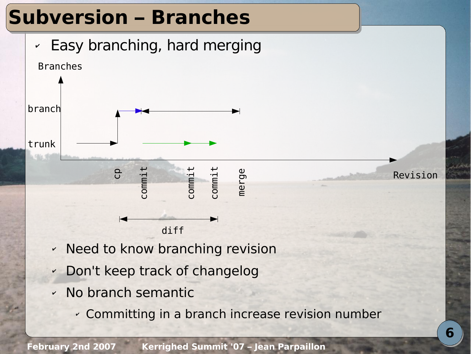### **Subversion – Branches**





 $\bm{\mathsf{C}}$ o

✔ Need to know branching revision

diff

 $\bm{\mathsf{\cup}}$ o  $\bm{\mathsf{C}}$ o

 $\mathbf{\Xi}$ 

- ✔ Don't keep track of changelog
- ✔ No branch semantic
	- ✔ Committing in a branch increase revision number

Revision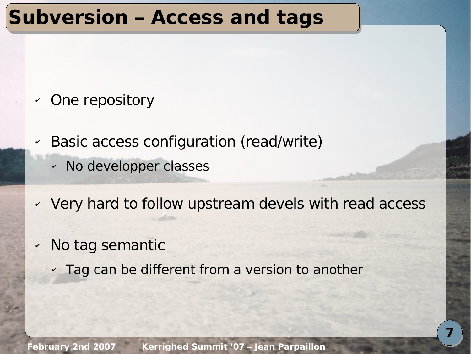#### **Subversion – Access and tags**

- ✔ One repository
- ✔ Basic access configuration (read/write)
	- ✔ No developper classes
- ✔ Very hard to follow upstream devels with read access
- ✔ No tag semantic
	- $\cdot$  Tag can be different from a version to another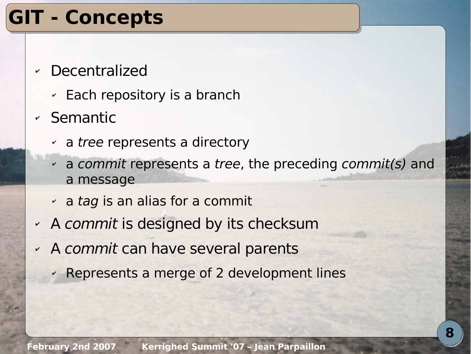# **GIT - Concepts**

- ✔ Decentralized
	- $\sim$  Each repository is a branch
- ✔ Semantic
	- $\sim$  a tree represents a directory
	- $\alpha$  a commit represents a tree, the preceding commit(s) and a message
	- $\cdot$  a tag is an alias for a commit
- ✔ A commit is designed by its checksum
- ✔ A commit can have several parents
	- ✔ Represents a merge of 2 development lines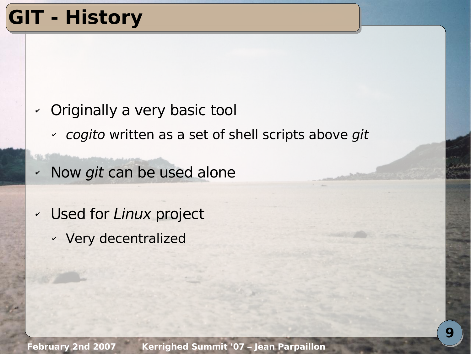# **GIT - History**

- ✔ Originally a very basic tool
	- ✔ cogito written as a set of shell scripts above git
- ✔ Now git can be used alone
- ✔ Used for Linux project
	- ✔ Very decentralized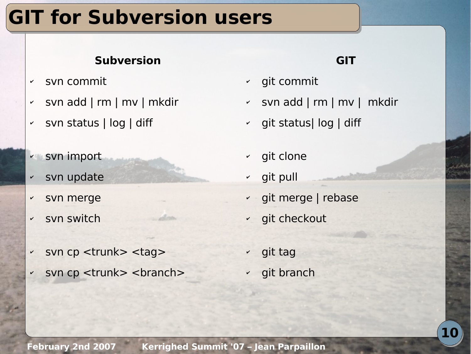# **GIT for Subversion users**

#### **Subversion**

- ✔ svn commit
- ✔ svn add | rm | mv | mkdir
- ✔ svn status | log | diff
- ✔ svn import
- ✔ svn update
- svn merge
- ✔ svn switch
- ✔ svn cp <trunk> <tag>
- svn cp <trunk> <br/> <br/> <br/> <br/>
svn cp <trunk>

#### **GIT**

- ✔ git commit
- ✔ svn add | rm | mv | mkdir
- ✔ git status| log | diff
- ✔ git clone
- ✔ git pull
- ✔ git merge | rebase
- ✔ git checkout
- ✔ git tag
- ✔ git branch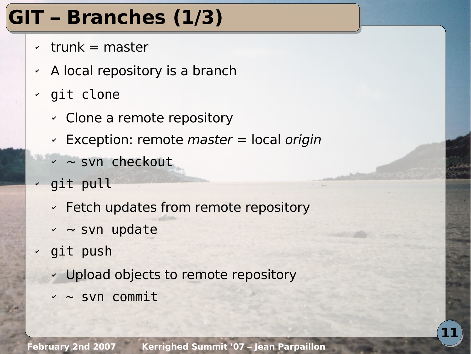# **GIT – Branches (1/3)**

- $\cdot$  trunk = master
- $\sim$  A local repository is a branch
- ✔ git clone
	- ✔ Clone a remote repository
	- $\sim$  Exception: remote *master* = local *origin*
	- ✔ ~ svn checkout
- $\sim$  git pull
	- ✔ Fetch updates from remote repository
	- $\sim$   $\sim$  svn update
- ✔ git push
	- ✔ Upload objects to remote repository
	- $\sim$  svn commit

**11**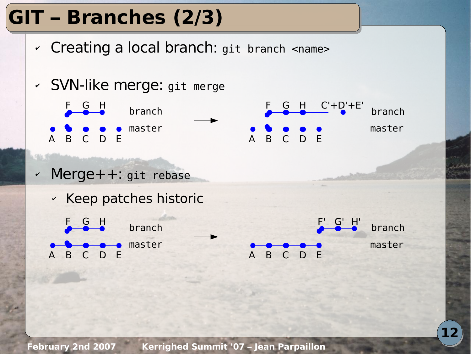# **GIT – Branches (2/3)**

✔ Creating a local branch: git branch <name>

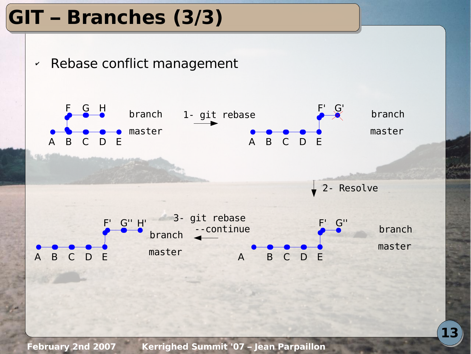# **GIT – Branches (3/3)**



**February 2nd 2007 Kerrighed Summit '07 – Jean Parpaillon**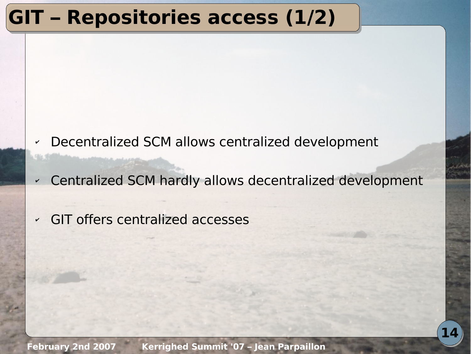# **GIT – Repositories access (1/2)**

- ✔ Decentralized SCM allows centralized development
- ✔ Centralized SCM hardly allows decentralized development
- ✔ GIT offers centralized accesses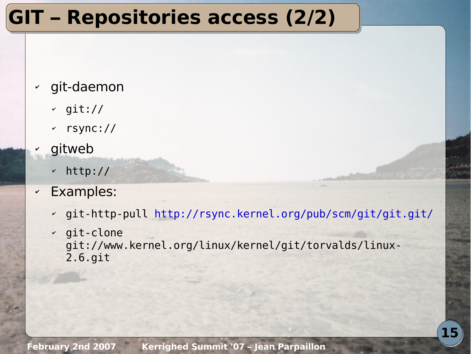# **GIT – Repositories access (2/2)**

#### ✔ git-daemon

- $\sim$  git://
- ✔ rsync://
- **gitweb** 
	- ✔ http://
- ✔ Examples:
	- ✔ git-http-pull <http://rsync.kernel.org/pub/scm/git/git.git/>
	- ✔ git-clone git://www.kernel.org/linux/kernel/git/torvalds/linux-2.6.git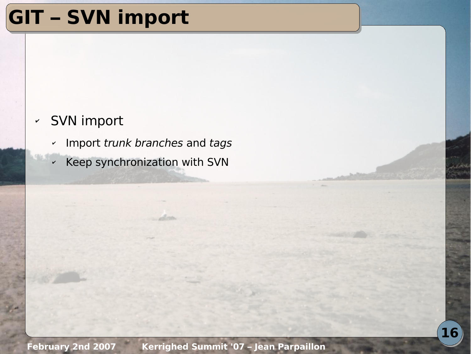# **GIT – SVN import**

#### ✔ SVN import

- ✔ Import trunk branches and tags
- ✔ Keep synchronization with SVN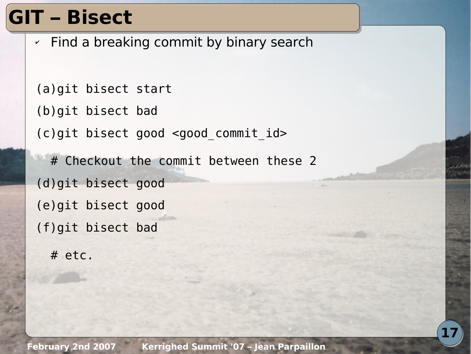# **GIT – Bisect**

 $\cdot$  Find a breaking commit by binary search

(a)git bisect start (b)git bisect bad (c)git bisect good <good\_commit\_id> # Checkout the commit between these 2 (d)git bisect good (e)git bisect good (f)git bisect bad # etc.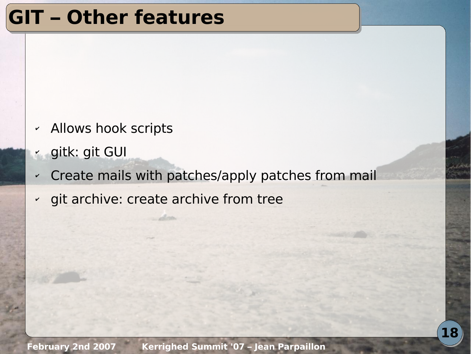#### **GIT – Other features**

- ✔ Allows hook scripts
- ✔ gitk: git GUI
- ✔ Create mails with patches/apply patches from mail
- ✔ git archive: create archive from tree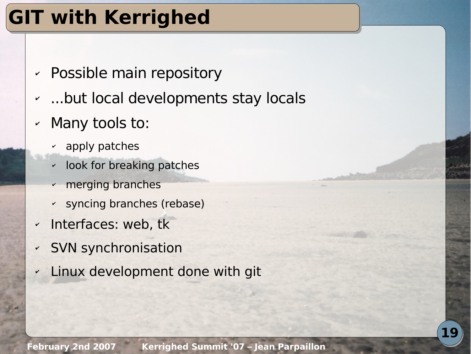# **GIT with Kerrighed**

- ✔ Possible main repository
- ...but local developments stay locals
- ✔ Many tools to:
	- apply patches
	- ✔ look for breaking patches
	- merging branches
	- ✔ syncing branches (rebase)
- ✔ Interfaces: web, tk
- ✔ SVN synchronisation
	- **Linux development done with git**